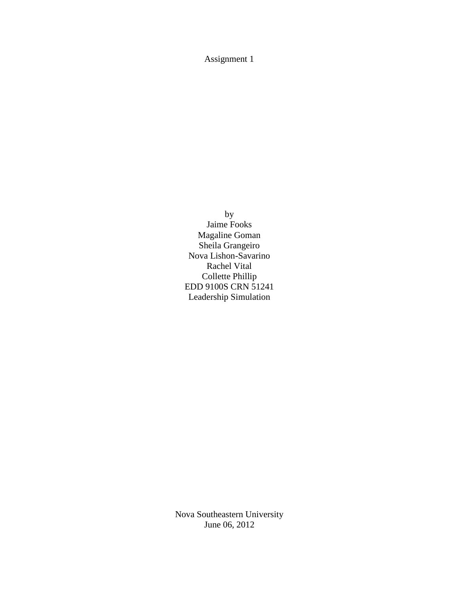Assignment 1

by Jaime Fooks Magaline Goman Sheila Grangeiro Nova Lishon-Savarino Rachel Vital Collette Phillip EDD 9100S CRN 51241 Leadership Simulation

Nova Southeastern University June 06, 2012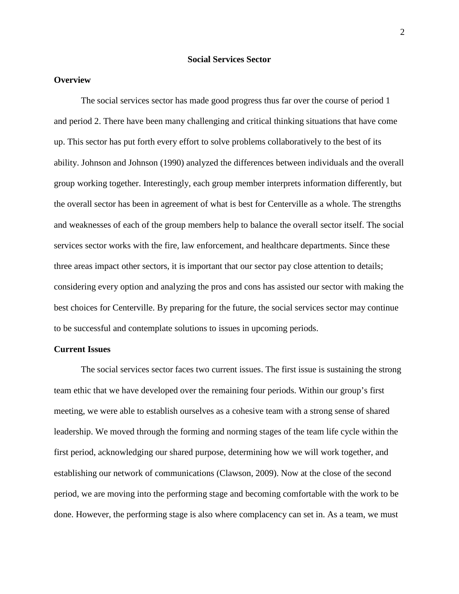# **Social Services Sector**

# **Overview**

The social services sector has made good progress thus far over the course of period 1 and period 2. There have been many challenging and critical thinking situations that have come up. This sector has put forth every effort to solve problems collaboratively to the best of its ability. Johnson and Johnson (1990) analyzed the differences between individuals and the overall group working together. Interestingly, each group member interprets information differently, but the overall sector has been in agreement of what is best for Centerville as a whole. The strengths and weaknesses of each of the group members help to balance the overall sector itself. The social services sector works with the fire, law enforcement, and healthcare departments. Since these three areas impact other sectors, it is important that our sector pay close attention to details; considering every option and analyzing the pros and cons has assisted our sector with making the best choices for Centerville. By preparing for the future, the social services sector may continue to be successful and contemplate solutions to issues in upcoming periods.

## **Current Issues**

The social services sector faces two current issues. The first issue is sustaining the strong team ethic that we have developed over the remaining four periods. Within our group's first meeting, we were able to establish ourselves as a cohesive team with a strong sense of shared leadership. We moved through the forming and norming stages of the team life cycle within the first period, acknowledging our shared purpose, determining how we will work together, and establishing our network of communications (Clawson, 2009). Now at the close of the second period, we are moving into the performing stage and becoming comfortable with the work to be done. However, the performing stage is also where complacency can set in. As a team, we must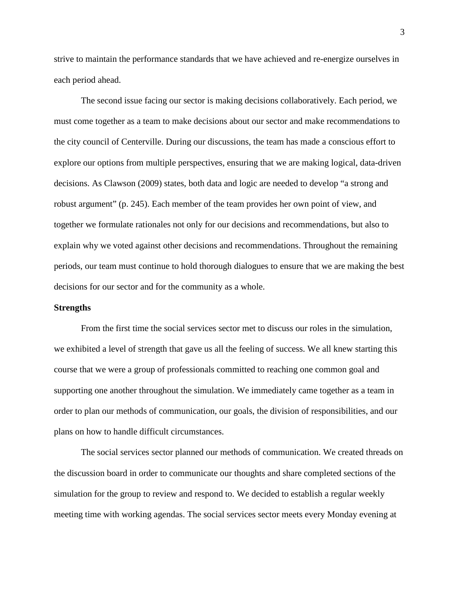strive to maintain the performance standards that we have achieved and re-energize ourselves in each period ahead.

The second issue facing our sector is making decisions collaboratively. Each period, we must come together as a team to make decisions about our sector and make recommendations to the city council of Centerville. During our discussions, the team has made a conscious effort to explore our options from multiple perspectives, ensuring that we are making logical, data-driven decisions. As Clawson (2009) states, both data and logic are needed to develop "a strong and robust argument" (p. 245). Each member of the team provides her own point of view, and together we formulate rationales not only for our decisions and recommendations, but also to explain why we voted against other decisions and recommendations. Throughout the remaining periods, our team must continue to hold thorough dialogues to ensure that we are making the best decisions for our sector and for the community as a whole.

### **Strengths**

From the first time the social services sector met to discuss our roles in the simulation, we exhibited a level of strength that gave us all the feeling of success. We all knew starting this course that we were a group of professionals committed to reaching one common goal and supporting one another throughout the simulation. We immediately came together as a team in order to plan our methods of communication, our goals, the division of responsibilities, and our plans on how to handle difficult circumstances.

The social services sector planned our methods of communication. We created threads on the discussion board in order to communicate our thoughts and share completed sections of the simulation for the group to review and respond to. We decided to establish a regular weekly meeting time with working agendas. The social services sector meets every Monday evening at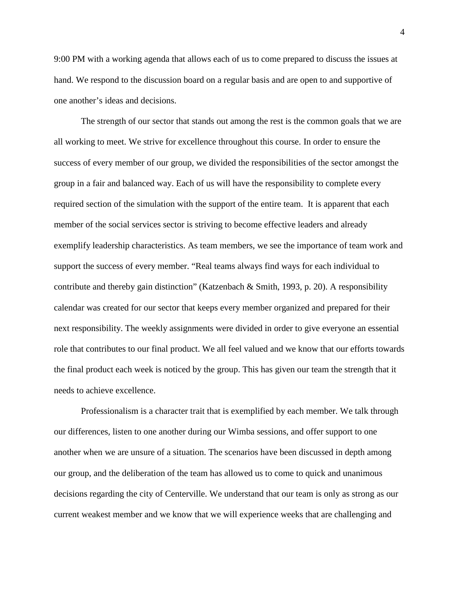9:00 PM with a working agenda that allows each of us to come prepared to discuss the issues at hand. We respond to the discussion board on a regular basis and are open to and supportive of one another's ideas and decisions.

The strength of our sector that stands out among the rest is the common goals that we are all working to meet. We strive for excellence throughout this course. In order to ensure the success of every member of our group, we divided the responsibilities of the sector amongst the group in a fair and balanced way. Each of us will have the responsibility to complete every required section of the simulation with the support of the entire team. It is apparent that each member of the social services sector is striving to become effective leaders and already exemplify leadership characteristics. As team members, we see the importance of team work and support the success of every member. "Real teams always find ways for each individual to contribute and thereby gain distinction" (Katzenbach & Smith, 1993, p. 20). A responsibility calendar was created for our sector that keeps every member organized and prepared for their next responsibility. The weekly assignments were divided in order to give everyone an essential role that contributes to our final product. We all feel valued and we know that our efforts towards the final product each week is noticed by the group. This has given our team the strength that it needs to achieve excellence.

Professionalism is a character trait that is exemplified by each member. We talk through our differences, listen to one another during our Wimba sessions, and offer support to one another when we are unsure of a situation. The scenarios have been discussed in depth among our group, and the deliberation of the team has allowed us to come to quick and unanimous decisions regarding the city of Centerville. We understand that our team is only as strong as our current weakest member and we know that we will experience weeks that are challenging and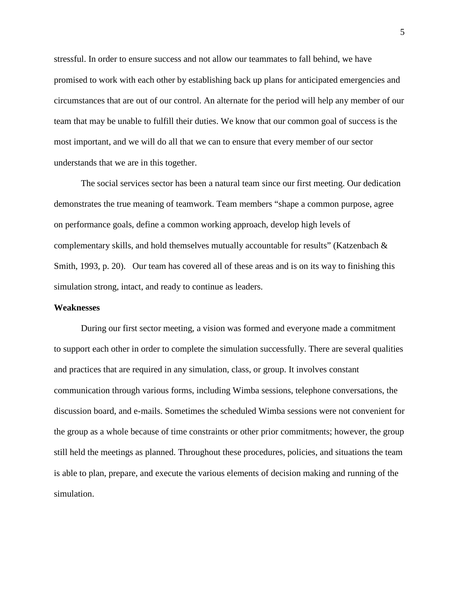stressful. In order to ensure success and not allow our teammates to fall behind, we have promised to work with each other by establishing back up plans for anticipated emergencies and circumstances that are out of our control. An alternate for the period will help any member of our team that may be unable to fulfill their duties. We know that our common goal of success is the most important, and we will do all that we can to ensure that every member of our sector understands that we are in this together.

The social services sector has been a natural team since our first meeting. Our dedication demonstrates the true meaning of teamwork. Team members "shape a common purpose, agree on performance goals, define a common working approach, develop high levels of complementary skills, and hold themselves mutually accountable for results" (Katzenbach  $\&$ Smith, 1993, p. 20). Our team has covered all of these areas and is on its way to finishing this simulation strong, intact, and ready to continue as leaders.

#### **Weaknesses**

During our first sector meeting, a vision was formed and everyone made a commitment to support each other in order to complete the simulation successfully. There are several qualities and practices that are required in any simulation, class, or group. It involves constant communication through various forms, including Wimba sessions, telephone conversations, the discussion board, and e-mails. Sometimes the scheduled Wimba sessions were not convenient for the group as a whole because of time constraints or other prior commitments; however, the group still held the meetings as planned. Throughout these procedures, policies, and situations the team is able to plan, prepare, and execute the various elements of decision making and running of the simulation.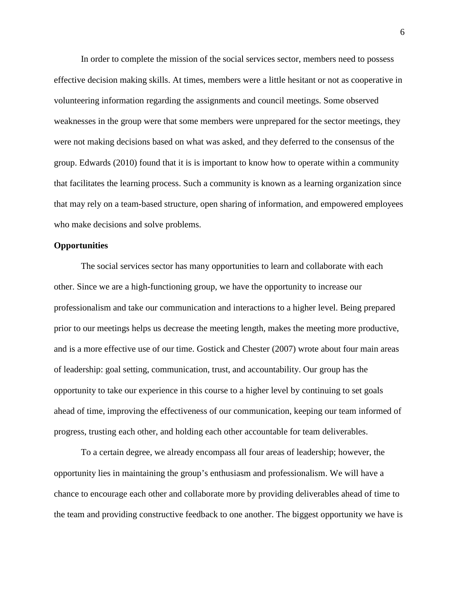In order to complete the mission of the social services sector, members need to possess effective decision making skills. At times, members were a little hesitant or not as cooperative in volunteering information regarding the assignments and council meetings. Some observed weaknesses in the group were that some members were unprepared for the sector meetings, they were not making decisions based on what was asked, and they deferred to the consensus of the group. Edwards (2010) found that it is is important to know how to operate within a community that facilitates the learning process. Such a community is known as a learning organization since that may rely on a team-based structure, open sharing of information, and empowered employees who make decisions and solve problems.

# **Opportunities**

The social services sector has many opportunities to learn and collaborate with each other. Since we are a high-functioning group, we have the opportunity to increase our professionalism and take our communication and interactions to a higher level. Being prepared prior to our meetings helps us decrease the meeting length, makes the meeting more productive, and is a more effective use of our time. Gostick and Chester (2007) wrote about four main areas of leadership: goal setting, communication, trust, and accountability. Our group has the opportunity to take our experience in this course to a higher level by continuing to set goals ahead of time, improving the effectiveness of our communication, keeping our team informed of progress, trusting each other, and holding each other accountable for team deliverables.

To a certain degree, we already encompass all four areas of leadership; however, the opportunity lies in maintaining the group's enthusiasm and professionalism. We will have a chance to encourage each other and collaborate more by providing deliverables ahead of time to the team and providing constructive feedback to one another. The biggest opportunity we have is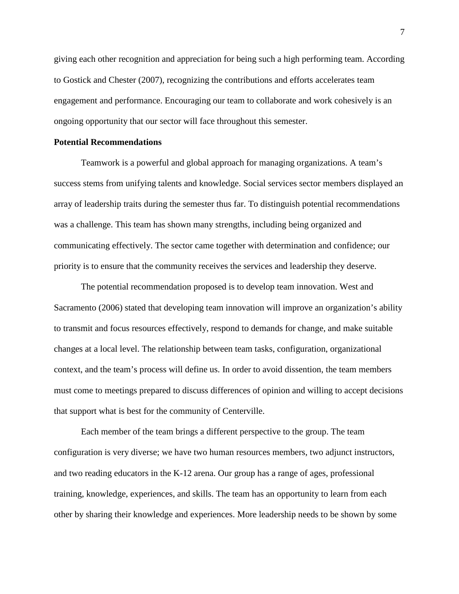giving each other recognition and appreciation for being such a high performing team. According to Gostick and Chester (2007), recognizing the contributions and efforts accelerates team engagement and performance. Encouraging our team to collaborate and work cohesively is an ongoing opportunity that our sector will face throughout this semester.

### **Potential Recommendations**

Teamwork is a powerful and global approach for managing organizations. A team's success stems from unifying talents and knowledge. Social services sector members displayed an array of leadership traits during the semester thus far. To distinguish potential recommendations was a challenge. This team has shown many strengths, including being organized and communicating effectively. The sector came together with determination and confidence; our priority is to ensure that the community receives the services and leadership they deserve.

The potential recommendation proposed is to develop team innovation. West and Sacramento (2006) stated that developing team innovation will improve an organization's ability to transmit and focus resources effectively, respond to demands for change, and make suitable changes at a local level. The relationship between team tasks, configuration, organizational context, and the team's process will define us. In order to avoid dissention, the team members must come to meetings prepared to discuss differences of opinion and willing to accept decisions that support what is best for the community of Centerville.

Each member of the team brings a different perspective to the group. The team configuration is very diverse; we have two human resources members, two adjunct instructors, and two reading educators in the K-12 arena. Our group has a range of ages, professional training, knowledge, experiences, and skills. The team has an opportunity to learn from each other by sharing their knowledge and experiences. More leadership needs to be shown by some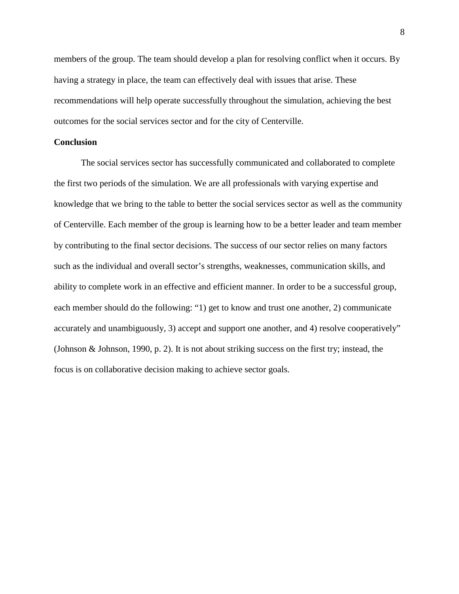members of the group. The team should develop a plan for resolving conflict when it occurs. By having a strategy in place, the team can effectively deal with issues that arise. These recommendations will help operate successfully throughout the simulation, achieving the best outcomes for the social services sector and for the city of Centerville.

# **Conclusion**

The social services sector has successfully communicated and collaborated to complete the first two periods of the simulation. We are all professionals with varying expertise and knowledge that we bring to the table to better the social services sector as well as the community of Centerville. Each member of the group is learning how to be a better leader and team member by contributing to the final sector decisions. The success of our sector relies on many factors such as the individual and overall sector's strengths, weaknesses, communication skills, and ability to complete work in an effective and efficient manner. In order to be a successful group, each member should do the following: "1) get to know and trust one another, 2) communicate accurately and unambiguously, 3) accept and support one another, and 4) resolve cooperatively" (Johnson & Johnson, 1990, p. 2). It is not about striking success on the first try; instead, the focus is on collaborative decision making to achieve sector goals.